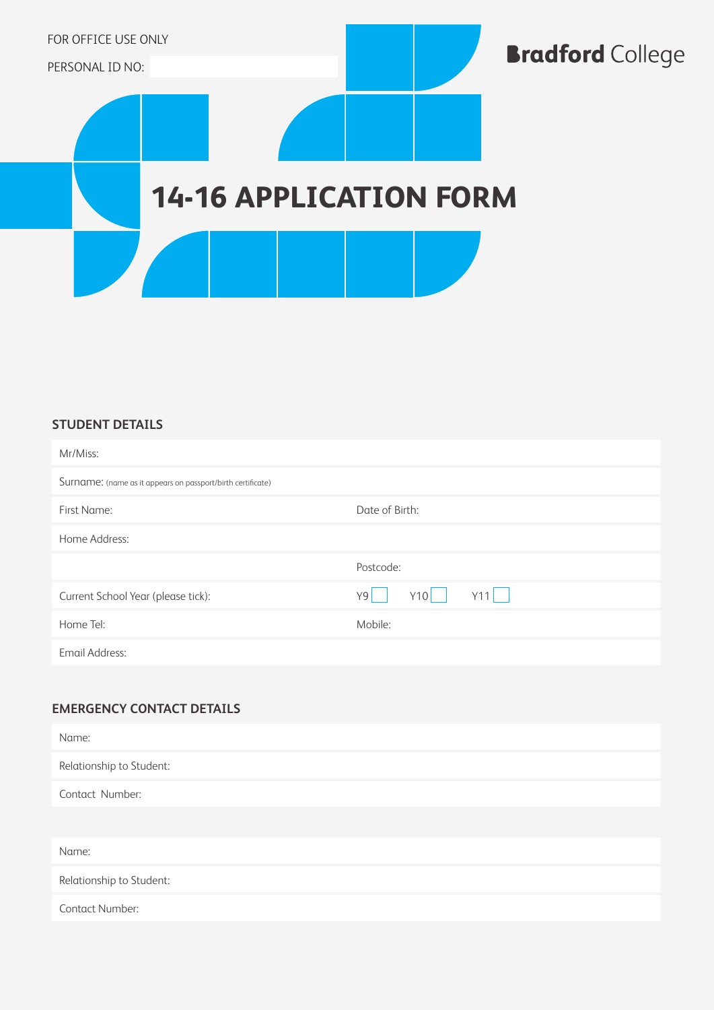

## **STUDENT DETAILS**

| Mr/Miss:                                                    |                  |
|-------------------------------------------------------------|------------------|
| Surname: (name as it appears on passport/birth certificate) |                  |
| First Name:                                                 | Date of Birth:   |
| Home Address:                                               |                  |
|                                                             | Postcode:        |
| Current School Year (please tick):                          | Y11<br>Y10<br>Y9 |
| Home Tel:                                                   | Mobile:          |
| Email Address:                                              |                  |

### **EMERGENCY CONTACT DETAILS**

| Name:                    |
|--------------------------|
| Relationship to Student: |
| Contact Number:          |
|                          |
| Name:                    |
| Relationship to Student: |
| Contact Number:          |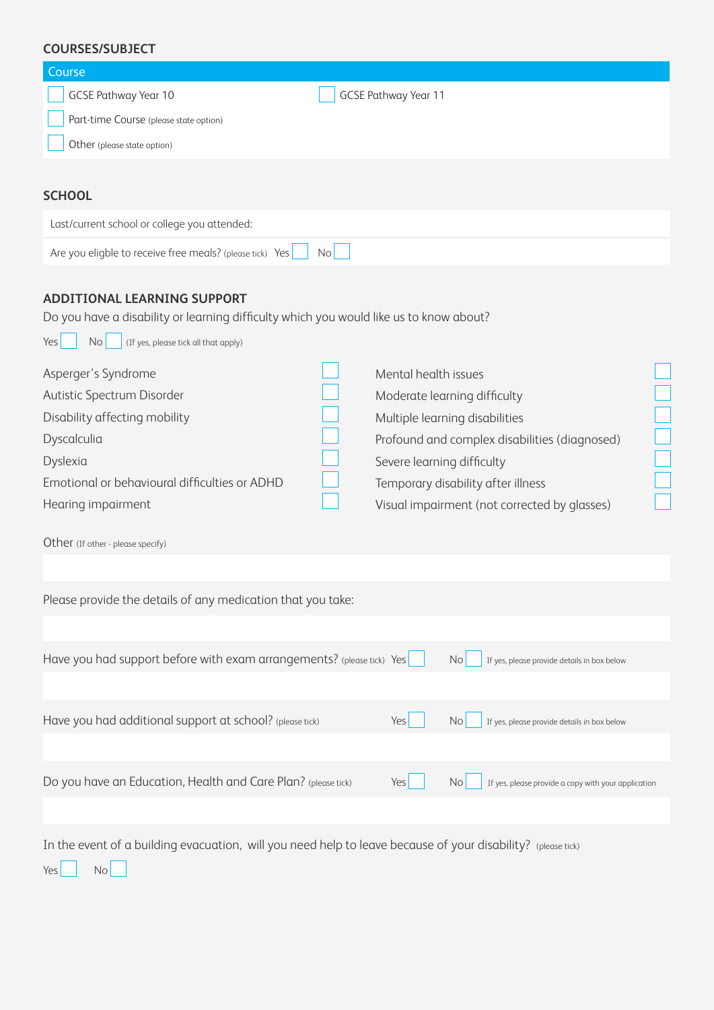## **COURSES/SUBJECT**

| Course                                       |                             |
|----------------------------------------------|-----------------------------|
| GCSE Pathway Year 10                         | <b>GCSE Pathway Year 11</b> |
| Part-time Course (please state option)       |                             |
| Other (please state option)                  |                             |
|                                              |                             |
| <b>SCHOOL</b>                                |                             |
| Last/current school or college you attended: |                             |

۰

| ADDITIONAL LEARNING SUPPORT |  |
|-----------------------------|--|
|                             |  |

Are you eligble to receive free meals? (please tick) Yes No

Do you have a disability or learning difficulty which you would like us to know about?

| Yes<br>(If yes, please tick all that apply)<br>No. |                                               |
|----------------------------------------------------|-----------------------------------------------|
| Asperger's Syndrome                                | Mental health issues                          |
| Autistic Spectrum Disorder                         | Moderate learning difficulty                  |
| Disability affecting mobility                      | Multiple learning disabilities                |
| Dyscalculia                                        | Profound and complex disabilities (diagnosed) |
| Dyslexia                                           | Severe learning difficulty                    |
| Emotional or behavioural difficulties or ADHD      | Temporary disability after illness            |
| Hearing impairment                                 | Visual impairment (not corrected by glasses)  |

Other (If other - please specify)

| Please provide the details of any medication that you take:                                                  |     |                                                            |
|--------------------------------------------------------------------------------------------------------------|-----|------------------------------------------------------------|
|                                                                                                              |     |                                                            |
| Have you had support before with exam arrangements? (please tick) Yes                                        |     | No I<br>If yes, please provide details in box below        |
|                                                                                                              |     |                                                            |
| Have you had additional support at school? (please tick)                                                     | Yes | No.<br>If yes, please provide details in box below         |
|                                                                                                              |     |                                                            |
| Do you have an Education, Health and Care Plan? (please tick)                                                | Yes | No.<br>If yes, please provide a copy with your application |
|                                                                                                              |     |                                                            |
| In the event of a building evacuation, will you need help to leave because of your disability? (please tick) |     |                                                            |

Yes No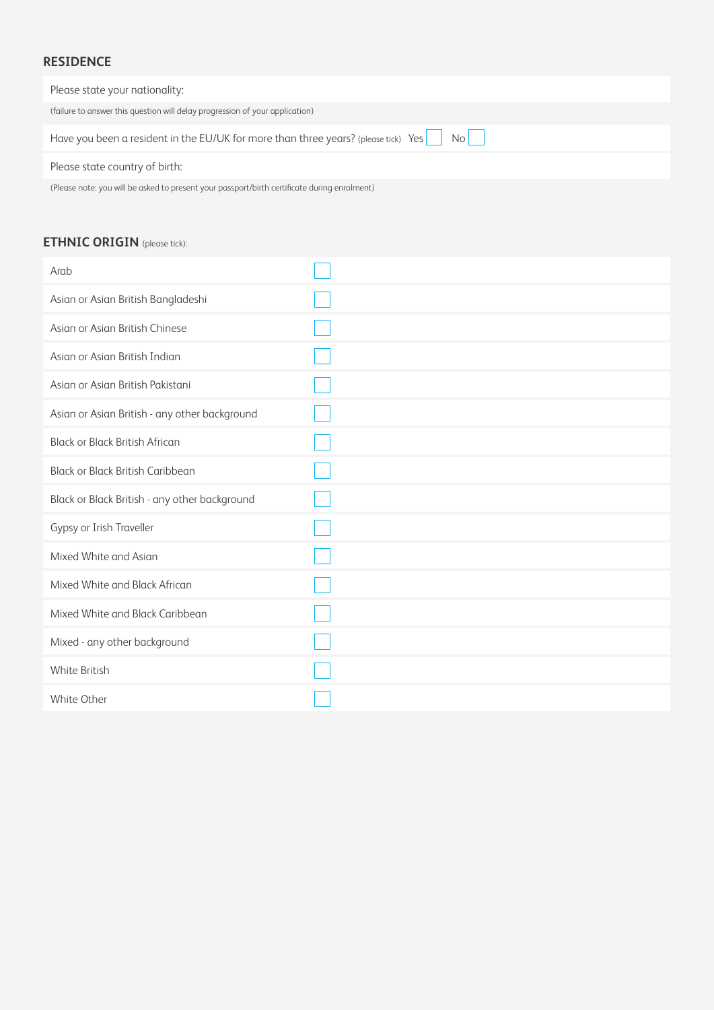## **RESIDENCE**

| Please state your nationality:                                                           |
|------------------------------------------------------------------------------------------|
| (failure to answer this question will delay progression of your application)             |
| Have you been a resident in the EU/UK for more than three years? (please tick) Yes<br>No |

#### Please state country of birth:

(Please note: you will be asked to present your passport/birth certificate during enrolment)

## **ETHNIC ORIGIN** (please tick):

| Arab                                          |  |
|-----------------------------------------------|--|
| Asian or Asian British Bangladeshi            |  |
| Asian or Asian British Chinese                |  |
| Asian or Asian British Indian                 |  |
| Asian or Asian British Pakistani              |  |
| Asian or Asian British - any other background |  |
| <b>Black or Black British African</b>         |  |
| <b>Black or Black British Caribbean</b>       |  |
| Black or Black British - any other background |  |
| Gypsy or Irish Traveller                      |  |
| Mixed White and Asian                         |  |
| Mixed White and Black African                 |  |
| Mixed White and Black Caribbean               |  |
| Mixed - any other background                  |  |
| White British                                 |  |
| White Other                                   |  |